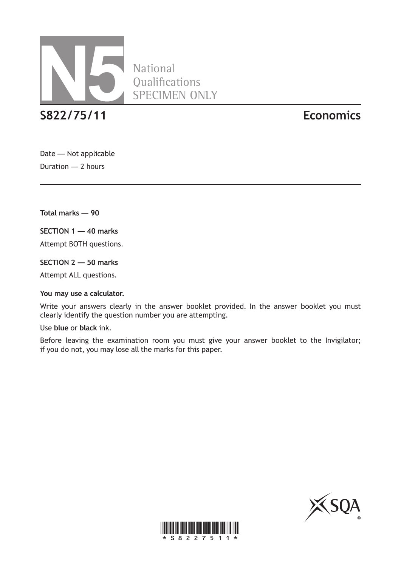

**National** Qualifications SPECIMEN ONLY

**S822/75/11 Economics**

Date — Not applicable Duration — 2 hours

**Total marks — 90**

**SECTION 1 — 40 marks**

Attempt BOTH questions.

**SECTION 2 — 50 marks**

Attempt ALL questions.

#### **You may use a calculator.**

Write your answers clearly in the answer booklet provided. In the answer booklet you must clearly identify the question number you are attempting.

Use **blue** or **black** ink.

Before leaving the examination room you must give your answer booklet to the Invigilator; if you do not, you may lose all the marks for this paper.



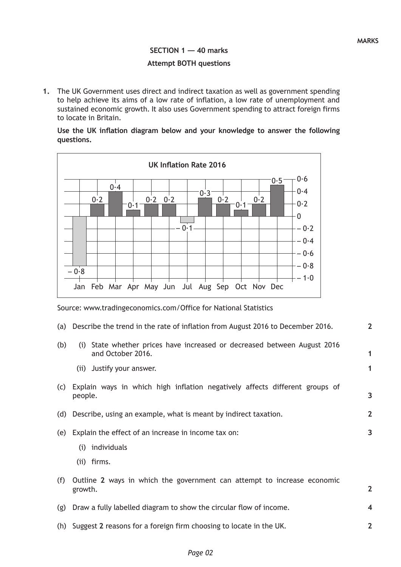**1**

**1**

**3**

**2**

**3**

**2**

# **SECTION 1 — 40 marks Attempt BOTH questions**

**1.** The UK Government uses direct and indirect taxation as well as government spending to help achieve its aims of a low rate of inflation, a low rate of unemployment and sustained economic growth. It also uses Government spending to attract foreign firms to locate in Britain.

|            |  |  |  | Use the UK inflation diagram below and your knowledge to answer the following |  |  |
|------------|--|--|--|-------------------------------------------------------------------------------|--|--|
| questions. |  |  |  |                                                                               |  |  |



Source: www.tradingeconomics.com/Office for National Statistics

- (a) Describe the trend in the rate of inflation from August 2016 to December 2016. **2**
- (b) (i) State whether prices have increased or decreased between August 2016 and October 2016.
	- (ii) Justify your answer.
- (c) Explain ways in which high inflation negatively affects different groups of people.
- (d) Describe, using an example, what is meant by indirect taxation.
- (e) Explain the effect of an increase in income tax on:
	- (i) individuals
	- (ii) firms.

| (f) Outline 2 ways in which the government can attempt to increase economic |  |
|-----------------------------------------------------------------------------|--|
| growth.                                                                     |  |

- (g) Draw a fully labelled diagram to show the circular flow of income. **4**
- (h) Suggest **2** reasons for a foreign firm choosing to locate in the UK.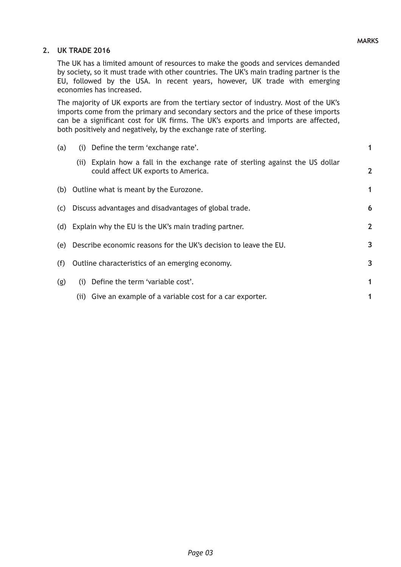### **MARKS**

#### **2. UK TRADE 2016**

The UK has a limited amount of resources to make the goods and services demanded by society, so it must trade with other countries. The UK's main trading partner is the EU, followed by the USA. In recent years, however, UK trade with emerging economies has increased.

The majority of UK exports are from the tertiary sector of industry. Most of the UK's imports come from the primary and secondary sectors and the price of these imports can be a significant cost for UK firms. The UK's exports and imports are affected, both positively and negatively, by the exchange rate of sterling.

| (a) | (i) Define the term 'exchange rate'.                                               |                                                                                | 1              |  |  |  |
|-----|------------------------------------------------------------------------------------|--------------------------------------------------------------------------------|----------------|--|--|--|
|     | could affect UK exports to America.                                                | (ii) Explain how a fall in the exchange rate of sterling against the US dollar | $\overline{2}$ |  |  |  |
|     | (b) Outline what is meant by the Eurozone.                                         |                                                                                | 1              |  |  |  |
| (C) | Discuss advantages and disadvantages of global trade.                              |                                                                                | 6              |  |  |  |
|     | (d) Explain why the EU is the UK's main trading partner.                           |                                                                                | $\mathbf 2$    |  |  |  |
| (e) | Describe economic reasons for the UK's decision to leave the EU.<br>$\overline{3}$ |                                                                                |                |  |  |  |
| (f) | Outline characteristics of an emerging economy.                                    |                                                                                | 3              |  |  |  |
| (g) | Define the term 'variable cost'.<br>(i)                                            |                                                                                | 1              |  |  |  |
|     | (ii) Give an example of a variable cost for a car exporter.                        |                                                                                | 1              |  |  |  |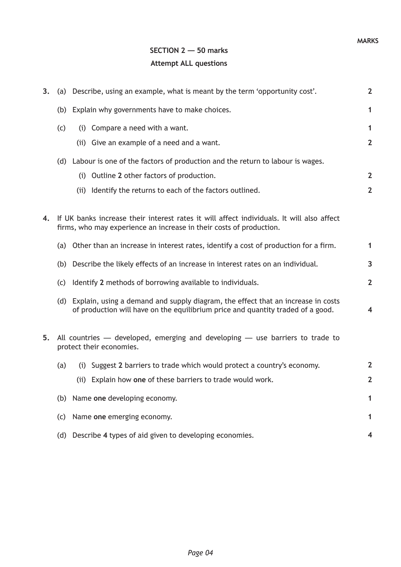# **SECTION 2 — 50 marks Attempt ALL questions**

| 3. |     | (a) Describe, using an example, what is meant by the term 'opportunity cost'.                                                                                           |                         |  |  |  |
|----|-----|-------------------------------------------------------------------------------------------------------------------------------------------------------------------------|-------------------------|--|--|--|
|    |     | (b) Explain why governments have to make choices.                                                                                                                       | 1                       |  |  |  |
|    | (c) | (i) Compare a need with a want.                                                                                                                                         | 1                       |  |  |  |
|    |     | (ii) Give an example of a need and a want.                                                                                                                              | $\overline{2}$          |  |  |  |
|    |     | (d) Labour is one of the factors of production and the return to labour is wages.                                                                                       |                         |  |  |  |
|    |     | (i) Outline 2 other factors of production.                                                                                                                              | $\overline{2}$          |  |  |  |
|    |     | (ii) Identify the returns to each of the factors outlined.                                                                                                              | $\overline{2}$          |  |  |  |
| 4. |     | If UK banks increase their interest rates it will affect individuals. It will also affect<br>firms, who may experience an increase in their costs of production.        |                         |  |  |  |
|    |     | (a) Other than an increase in interest rates, identify a cost of production for a firm.                                                                                 | $\mathbf{1}$            |  |  |  |
|    | (b) | Describe the likely effects of an increase in interest rates on an individual.                                                                                          | 3                       |  |  |  |
|    | (c) | Identify 2 methods of borrowing available to individuals.                                                                                                               | $\overline{2}$          |  |  |  |
|    |     | (d) Explain, using a demand and supply diagram, the effect that an increase in costs<br>of production will have on the equilibrium price and quantity traded of a good. | $\overline{\mathbf{4}}$ |  |  |  |
| 5. |     | All countries $-$ developed, emerging and developing $-$ use barriers to trade to<br>protect their economies.                                                           |                         |  |  |  |
|    | (a) | (i) Suggest 2 barriers to trade which would protect a country's economy.                                                                                                | $\overline{2}$          |  |  |  |
|    |     | (ii) Explain how one of these barriers to trade would work.                                                                                                             | $\overline{2}$          |  |  |  |
|    | (b) | Name one developing economy.                                                                                                                                            | 1                       |  |  |  |
|    | (c) | Name one emerging economy.                                                                                                                                              |                         |  |  |  |
|    | (d) | Describe 4 types of aid given to developing economies.                                                                                                                  |                         |  |  |  |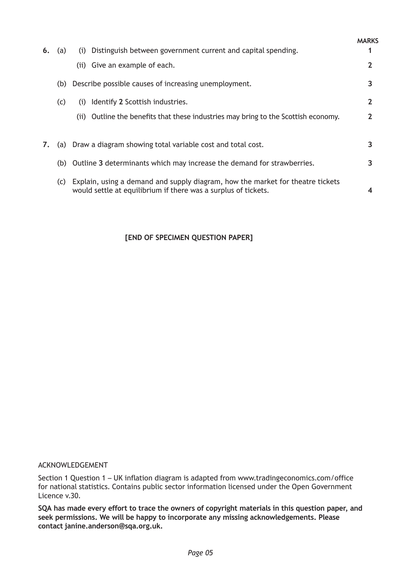| 6. | (a) | Distinguish between government current and capital spending.<br>(i)                                                                              | <b>MARKS</b> |
|----|-----|--------------------------------------------------------------------------------------------------------------------------------------------------|--------------|
|    |     | (ii) Give an example of each.                                                                                                                    |              |
|    | (b) | Describe possible causes of increasing unemployment.                                                                                             | 3            |
|    | (c) | Identify 2 Scottish industries.<br>(i)                                                                                                           | $\mathbf{2}$ |
|    |     | Outline the benefits that these industries may bring to the Scottish economy.<br>(iii)                                                           |              |
| 7. |     | (a) Draw a diagram showing total variable cost and total cost.                                                                                   | 3            |
|    |     |                                                                                                                                                  | 3            |
|    | (b) | Outline 3 determinants which may increase the demand for strawberries.                                                                           |              |
|    | (C) | Explain, using a demand and supply diagram, how the market for theatre tickets<br>would settle at equilibrium if there was a surplus of tickets. |              |

## **[END OF SPECIMEN QUESTION PAPER]**

#### ACKNOWLEDGEMENT

Section 1 Question 1 – UK inflation diagram is adapted from www.tradingeconomics.com/office for national statistics. Contains public sector information licensed under the Open Government Licence v.30.

**SQA has made every effort to trace the owners of copyright materials in this question paper, and seek permissions. We will be happy to incorporate any missing acknowledgements. Please contact janine.anderson@sqa.org.uk.**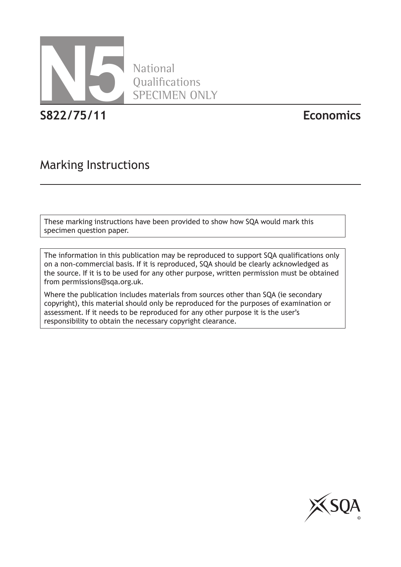

National Qualifications SPECIMEN ONLY

**S822/75/11 Economics**

# Marking Instructions

These marking instructions have been provided to show how SQA would mark this specimen question paper.

The information in this publication may be reproduced to support SQA qualifications only on a non-commercial basis. If it is reproduced, SQA should be clearly acknowledged as the source. If it is to be used for any other purpose, written permission must be obtained from permissions@sqa.org.uk.

Where the publication includes materials from sources other than SQA (ie secondary copyright), this material should only be reproduced for the purposes of examination or assessment. If it needs to be reproduced for any other purpose it is the user's responsibility to obtain the necessary copyright clearance.

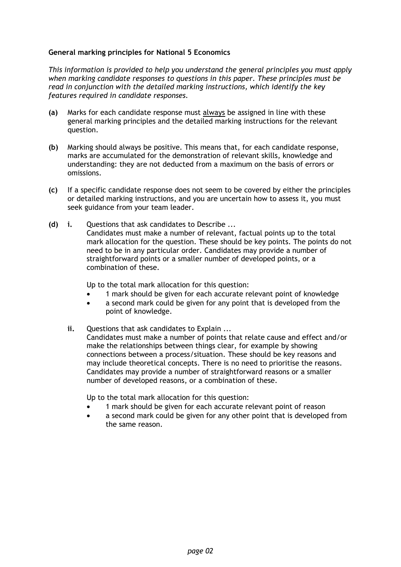#### **General marking principles for National 5 Economics**

*This information is provided to help you understand the general principles you must apply when marking candidate responses to questions in this paper. These principles must be read in conjunction with the detailed marking instructions, which identify the key features required in candidate responses.* 

- **(a)** Marks for each candidate response must always be assigned in line with these general marking principles and the detailed marking instructions for the relevant question.
- **(b)** Marking should always be positive. This means that, for each candidate response, marks are accumulated for the demonstration of relevant skills, knowledge and understanding: they are not deducted from a maximum on the basis of errors or omissions.
- **(c)** If a specific candidate response does not seem to be covered by either the principles or detailed marking instructions, and you are uncertain how to assess it, you must seek guidance from your team leader.
- **(d) i.** Questions that ask candidates to Describe ... Candidates must make a number of relevant, factual points up to the total mark allocation for the question. These should be key points. The points do not need to be in any particular order. Candidates may provide a number of straightforward points or a smaller number of developed points, or a combination of these.

Up to the total mark allocation for this question:

- 1 mark should be given for each accurate relevant point of knowledge
- a second mark could be given for any point that is developed from the point of knowledge.
- **ii.** Questions that ask candidates to Explain ... Candidates must make a number of points that relate cause and effect and/or make the relationships between things clear, for example by showing connections between a process/situation. These should be key reasons and may include theoretical concepts. There is no need to prioritise the reasons. Candidates may provide a number of straightforward reasons or a smaller number of developed reasons, or a combination of these.

Up to the total mark allocation for this question:

- 1 mark should be given for each accurate relevant point of reason
- a second mark could be given for any other point that is developed from the same reason.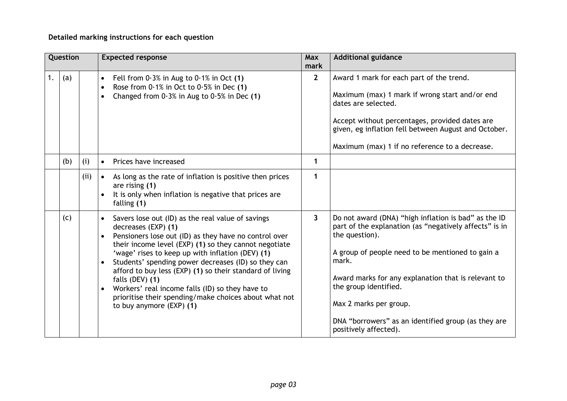## **Detailed marking instructions for each question**

|    | Question |      | <b>Expected response</b>                                                                                                                                                                                                                                                                                                                                                                                                                                                                                                                  | <b>Max</b><br>mark | <b>Additional guidance</b>                                                                                                                                                                                                                                                                                                                                                              |  |
|----|----------|------|-------------------------------------------------------------------------------------------------------------------------------------------------------------------------------------------------------------------------------------------------------------------------------------------------------------------------------------------------------------------------------------------------------------------------------------------------------------------------------------------------------------------------------------------|--------------------|-----------------------------------------------------------------------------------------------------------------------------------------------------------------------------------------------------------------------------------------------------------------------------------------------------------------------------------------------------------------------------------------|--|
| 1. | (a)      |      | Fell from $0.3\%$ in Aug to $0.1\%$ in Oct (1)<br>$\bullet$<br>Rose from $0.1\%$ in Oct to $0.5\%$ in Dec (1)<br>$\bullet$<br>Changed from $0.3\%$ in Aug to $0.5\%$ in Dec (1)<br>$\bullet$                                                                                                                                                                                                                                                                                                                                              | $2^{\circ}$        | Award 1 mark for each part of the trend.<br>Maximum (max) 1 mark if wrong start and/or end<br>dates are selected.<br>Accept without percentages, provided dates are<br>given, eg inflation fell between August and October.<br>Maximum (max) 1 if no reference to a decrease.                                                                                                           |  |
|    | (b)      | (i)  | Prices have increased<br>$\bullet$                                                                                                                                                                                                                                                                                                                                                                                                                                                                                                        | $\mathbf 1$        |                                                                                                                                                                                                                                                                                                                                                                                         |  |
|    |          | (ii) | As long as the rate of inflation is positive then prices<br>$\bullet$<br>are rising (1)<br>It is only when inflation is negative that prices are<br>$\bullet$<br>falling (1)                                                                                                                                                                                                                                                                                                                                                              | 1                  |                                                                                                                                                                                                                                                                                                                                                                                         |  |
|    | (c)      |      | Savers lose out (ID) as the real value of savings<br>$\bullet$<br>decreases (EXP) (1)<br>Pensioners lose out (ID) as they have no control over<br>their income level (EXP) (1) so they cannot negotiate<br>'wage' rises to keep up with inflation (DEV) (1)<br>Students' spending power decreases (ID) so they can<br>afford to buy less (EXP) (1) so their standard of living<br>falls (DEV) (1)<br>Workers' real income falls (ID) so they have to<br>prioritise their spending/make choices about what not<br>to buy anymore (EXP) (1) | 3                  | Do not award (DNA) "high inflation is bad" as the ID<br>part of the explanation (as "negatively affects" is in<br>the question).<br>A group of people need to be mentioned to gain a<br>mark.<br>Award marks for any explanation that is relevant to<br>the group identified.<br>Max 2 marks per group.<br>DNA "borrowers" as an identified group (as they are<br>positively affected). |  |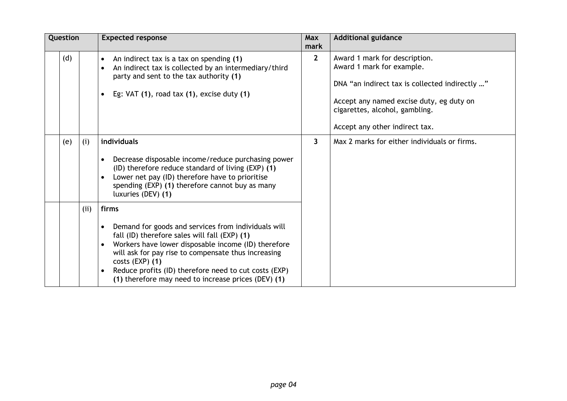| Question |      | <b>Expected response</b>                                                                                                                                                                                                                                                                                                                                                                     | Max<br>mark  | <b>Additional guidance</b>                                                                                                                                                                                                   |  |
|----------|------|----------------------------------------------------------------------------------------------------------------------------------------------------------------------------------------------------------------------------------------------------------------------------------------------------------------------------------------------------------------------------------------------|--------------|------------------------------------------------------------------------------------------------------------------------------------------------------------------------------------------------------------------------------|--|
| (d)      |      | An indirect tax is a tax on spending (1)<br>$\bullet$<br>An indirect tax is collected by an intermediary/third<br>$\bullet$<br>party and sent to the tax authority (1)<br>Eg: $VAT(1)$ , road tax $(1)$ , excise duty $(1)$<br>$\bullet$                                                                                                                                                     | $\mathbf{2}$ | Award 1 mark for description.<br>Award 1 mark for example.<br>DNA "an indirect tax is collected indirectly "<br>Accept any named excise duty, eg duty on<br>cigarettes, alcohol, gambling.<br>Accept any other indirect tax. |  |
| (e)      | (i)  | individuals<br>Decrease disposable income/reduce purchasing power<br>$\bullet$<br>(ID) therefore reduce standard of living (EXP) (1)<br>Lower net pay (ID) therefore have to prioritise<br>$\bullet$<br>spending (EXP) (1) therefore cannot buy as many<br>luxuries (DEV) (1)                                                                                                                | 3            | Max 2 marks for either individuals or firms.                                                                                                                                                                                 |  |
|          | (ii) | firms<br>Demand for goods and services from individuals will<br>$\bullet$<br>fall (ID) therefore sales will fall (EXP) (1)<br>Workers have lower disposable income (ID) therefore<br>$\bullet$<br>will ask for pay rise to compensate thus increasing<br>$costs$ (EXP) $(1)$<br>Reduce profits (ID) therefore need to cut costs (EXP)<br>(1) therefore may need to increase prices (DEV) (1) |              |                                                                                                                                                                                                                              |  |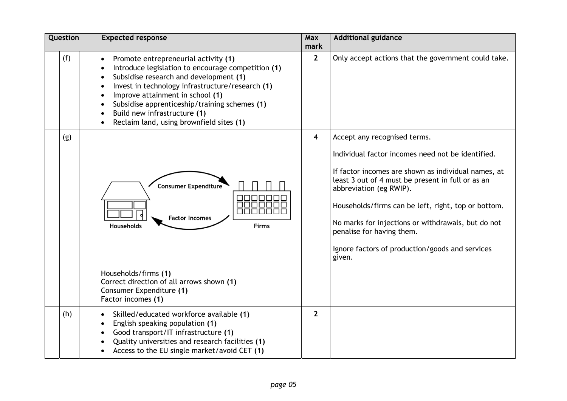| Question | <b>Expected response</b>                                                                                                                                                                                                                                                                                                                                                                                                                                          |                | <b>Additional guidance</b>                                                                                                                                                                                                                                                                                                                                                                                                      |  |
|----------|-------------------------------------------------------------------------------------------------------------------------------------------------------------------------------------------------------------------------------------------------------------------------------------------------------------------------------------------------------------------------------------------------------------------------------------------------------------------|----------------|---------------------------------------------------------------------------------------------------------------------------------------------------------------------------------------------------------------------------------------------------------------------------------------------------------------------------------------------------------------------------------------------------------------------------------|--|
| (f)      | Promote entrepreneurial activity (1)<br>$\bullet$<br>Introduce legislation to encourage competition (1)<br>$\bullet$<br>Subsidise research and development (1)<br>$\bullet$<br>Invest in technology infrastructure/research (1)<br>$\bullet$<br>Improve attainment in school (1)<br>$\bullet$<br>Subsidise apprenticeship/training schemes (1)<br>$\bullet$<br>Build new infrastructure (1)<br>$\bullet$<br>Reclaim land, using brownfield sites (1)<br>$\bullet$ | $\overline{2}$ | Only accept actions that the government could take.                                                                                                                                                                                                                                                                                                                                                                             |  |
| (g)      | <b>Consumer Expenditure</b><br><b>Factor Incomes</b><br>Households<br>Firms<br>Households/firms (1)<br>Correct direction of all arrows shown (1)<br>Consumer Expenditure (1)<br>Factor incomes (1)                                                                                                                                                                                                                                                                | 4              | Accept any recognised terms.<br>Individual factor incomes need not be identified.<br>If factor incomes are shown as individual names, at<br>least 3 out of 4 must be present in full or as an<br>abbreviation (eg RWIP).<br>Households/firms can be left, right, top or bottom.<br>No marks for injections or withdrawals, but do not<br>penalise for having them.<br>Ignore factors of production/goods and services<br>given. |  |
| (h)      | Skilled/educated workforce available (1)<br>$\bullet$<br>English speaking population (1)<br>$\bullet$<br>Good transport/IT infrastructure (1)<br>$\bullet$<br>Quality universities and research facilities (1)<br>$\bullet$<br>Access to the EU single market/avoid CET (1)<br>$\bullet$                                                                                                                                                                          | $\overline{2}$ |                                                                                                                                                                                                                                                                                                                                                                                                                                 |  |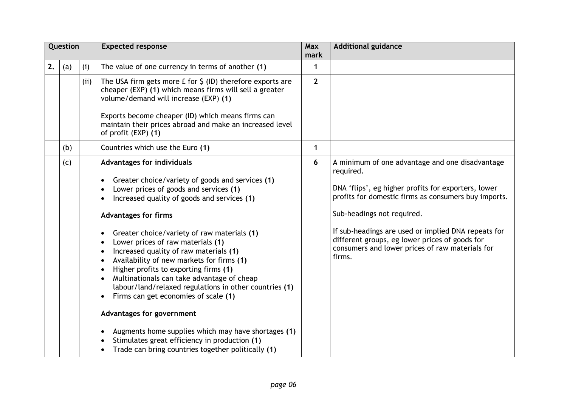|    | Question |      | <b>Expected response</b>                                                                                                                                                                                                                                                                                                                                                                                                                                                                                                                                                                                                                                                                                                                                                                                                                                                                   | <b>Max</b><br>mark | <b>Additional guidance</b>                                                                                                                                                                                                                                                                                                                                                      |  |
|----|----------|------|--------------------------------------------------------------------------------------------------------------------------------------------------------------------------------------------------------------------------------------------------------------------------------------------------------------------------------------------------------------------------------------------------------------------------------------------------------------------------------------------------------------------------------------------------------------------------------------------------------------------------------------------------------------------------------------------------------------------------------------------------------------------------------------------------------------------------------------------------------------------------------------------|--------------------|---------------------------------------------------------------------------------------------------------------------------------------------------------------------------------------------------------------------------------------------------------------------------------------------------------------------------------------------------------------------------------|--|
| 2. | (a)      | (i)  | The value of one currency in terms of another (1)                                                                                                                                                                                                                                                                                                                                                                                                                                                                                                                                                                                                                                                                                                                                                                                                                                          | 1                  |                                                                                                                                                                                                                                                                                                                                                                                 |  |
|    |          | (ii) | The USA firm gets more $E$ for $\zeta$ (ID) therefore exports are<br>cheaper (EXP) (1) which means firms will sell a greater<br>volume/demand will increase (EXP) (1)<br>Exports become cheaper (ID) which means firms can<br>maintain their prices abroad and make an increased level<br>of profit (EXP) (1)                                                                                                                                                                                                                                                                                                                                                                                                                                                                                                                                                                              | $\overline{2}$     |                                                                                                                                                                                                                                                                                                                                                                                 |  |
|    | (b)      |      | Countries which use the Euro (1)                                                                                                                                                                                                                                                                                                                                                                                                                                                                                                                                                                                                                                                                                                                                                                                                                                                           | $\mathbf 1$        |                                                                                                                                                                                                                                                                                                                                                                                 |  |
|    | (c)      |      | Advantages for individuals<br>Greater choice/variety of goods and services (1)<br>$\bullet$<br>Lower prices of goods and services (1)<br>Increased quality of goods and services (1)<br><b>Advantages for firms</b><br>Greater choice/variety of raw materials (1)<br>$\bullet$<br>Lower prices of raw materials (1)<br>$\bullet$<br>Increased quality of raw materials (1)<br>$\bullet$<br>Availability of new markets for firms (1)<br>$\bullet$<br>Higher profits to exporting firms (1)<br>$\bullet$<br>Multinationals can take advantage of cheap<br>labour/land/relaxed regulations in other countries (1)<br>Firms can get economies of scale (1)<br>$\bullet$<br>Advantages for government<br>Augments home supplies which may have shortages (1)<br>$\bullet$<br>Stimulates great efficiency in production (1)<br>$\bullet$<br>Trade can bring countries together politically (1) | 6                  | A minimum of one advantage and one disadvantage<br>required.<br>DNA 'flips', eg higher profits for exporters, lower<br>profits for domestic firms as consumers buy imports.<br>Sub-headings not required.<br>If sub-headings are used or implied DNA repeats for<br>different groups, eg lower prices of goods for<br>consumers and lower prices of raw materials for<br>firms. |  |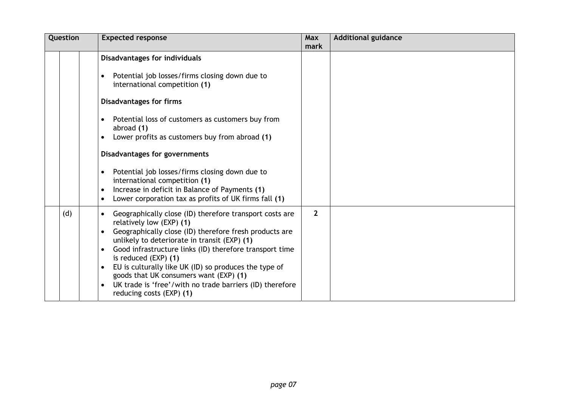| Question | <b>Expected response</b>                                                                                                                                                                                                                                                                                                                                                                                                                                                                                                                                                                    | <b>Max</b><br>mark | <b>Additional guidance</b> |
|----------|---------------------------------------------------------------------------------------------------------------------------------------------------------------------------------------------------------------------------------------------------------------------------------------------------------------------------------------------------------------------------------------------------------------------------------------------------------------------------------------------------------------------------------------------------------------------------------------------|--------------------|----------------------------|
|          | <b>Disadvantages for individuals</b><br>Potential job losses/firms closing down due to<br>$\bullet$<br>international competition (1)<br><b>Disadvantages for firms</b><br>Potential loss of customers as customers buy from<br>$\bullet$<br>abroad (1)<br>Lower profits as customers buy from abroad (1)<br>$\bullet$<br>Disadvantages for governments<br>Potential job losses/firms closing down due to<br>$\bullet$<br>international competition (1)<br>Increase in deficit in Balance of Payments (1)<br>$\bullet$<br>Lower corporation tax as profits of UK firms fall (1)<br>$\bullet$ |                    |                            |
| (d)      | Geographically close (ID) therefore transport costs are<br>$\bullet$<br>relatively low (EXP) (1)<br>Geographically close (ID) therefore fresh products are<br>$\bullet$<br>unlikely to deteriorate in transit (EXP) (1)<br>Good infrastructure links (ID) therefore transport time<br>$\bullet$<br>is reduced $(EXP)$ (1)<br>EU is culturally like UK (ID) so produces the type of<br>$\bullet$<br>goods that UK consumers want (EXP) (1)<br>UK trade is 'free'/with no trade barriers (ID) therefore<br>$\bullet$<br>reducing costs (EXP) (1)                                              | $\overline{2}$     |                            |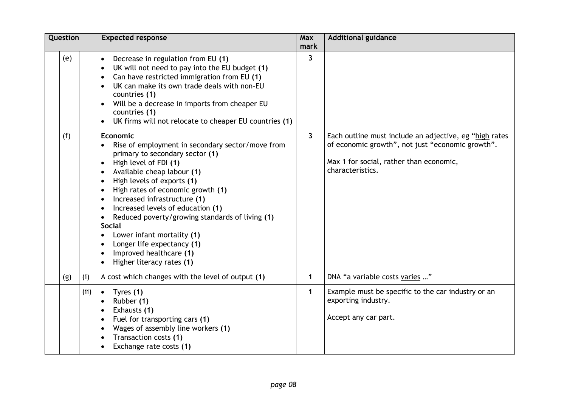| Question |      | <b>Expected response</b>                                                                                                                                                                                                                                                                                                                                                                                                                                                                                                                                                                                                                                  | <b>Max</b><br>mark | <b>Additional guidance</b>                                                                                                                                                |  |
|----------|------|-----------------------------------------------------------------------------------------------------------------------------------------------------------------------------------------------------------------------------------------------------------------------------------------------------------------------------------------------------------------------------------------------------------------------------------------------------------------------------------------------------------------------------------------------------------------------------------------------------------------------------------------------------------|--------------------|---------------------------------------------------------------------------------------------------------------------------------------------------------------------------|--|
| (e)      |      | Decrease in regulation from EU (1)<br>$\bullet$<br>UK will not need to pay into the EU budget (1)<br>$\bullet$<br>Can have restricted immigration from EU (1)<br>$\bullet$<br>UK can make its own trade deals with non-EU<br>$\bullet$<br>countries (1)<br>Will be a decrease in imports from cheaper EU<br>countries (1)<br>UK firms will not relocate to cheaper EU countries (1)                                                                                                                                                                                                                                                                       | 3                  |                                                                                                                                                                           |  |
| (f)      |      | <b>Economic</b><br>Rise of employment in secondary sector/move from<br>$\bullet$<br>primary to secondary sector (1)<br>High level of FDI (1)<br>$\bullet$<br>Available cheap labour (1)<br>$\bullet$<br>High levels of exports (1)<br>$\bullet$<br>High rates of economic growth (1)<br>$\bullet$<br>Increased infrastructure (1)<br>$\bullet$<br>Increased levels of education (1)<br>$\bullet$<br>Reduced poverty/growing standards of living (1)<br>$\bullet$<br><b>Social</b><br>Lower infant mortality (1)<br>$\bullet$<br>Longer life expectancy (1)<br>$\bullet$<br>Improved healthcare (1)<br>$\bullet$<br>Higher literacy rates (1)<br>$\bullet$ | 3                  | Each outline must include an adjective, eg "high rates<br>of economic growth", not just "economic growth".<br>Max 1 for social, rather than economic,<br>characteristics. |  |
| (g)      | (i)  | A cost which changes with the level of output (1)                                                                                                                                                                                                                                                                                                                                                                                                                                                                                                                                                                                                         | $\mathbf 1$        | DNA "a variable costs varies "                                                                                                                                            |  |
|          | (ii) | Tyres (1)<br>$\bullet$<br>Rubber (1)<br>$\bullet$<br>Exhausts (1)<br>$\bullet$<br>Fuel for transporting cars (1)<br>$\bullet$<br>Wages of assembly line workers (1)<br>$\bullet$<br>Transaction costs (1)<br>$\bullet$<br>Exchange rate costs (1)                                                                                                                                                                                                                                                                                                                                                                                                         | $\mathbf{1}$       | Example must be specific to the car industry or an<br>exporting industry.<br>Accept any car part.                                                                         |  |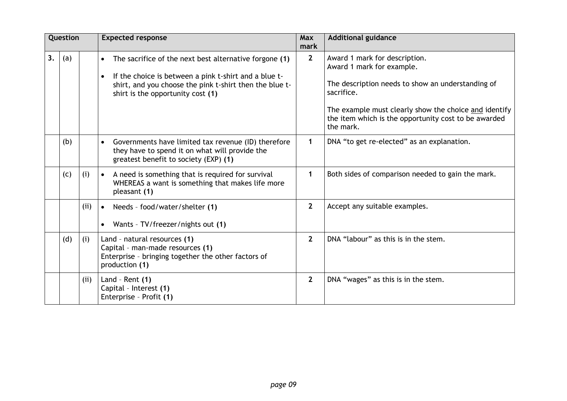|    | Question |      | <b>Expected response</b>                                                                                                                                                                                                                  | <b>Max</b><br>mark | <b>Additional guidance</b>                                                                                                                                                                                                                                  |
|----|----------|------|-------------------------------------------------------------------------------------------------------------------------------------------------------------------------------------------------------------------------------------------|--------------------|-------------------------------------------------------------------------------------------------------------------------------------------------------------------------------------------------------------------------------------------------------------|
| 3. | (a)      |      | The sacrifice of the next best alternative forgone (1)<br>$\bullet$<br>If the choice is between a pink t-shirt and a blue t-<br>$\bullet$<br>shirt, and you choose the pink t-shirt then the blue t-<br>shirt is the opportunity cost (1) | $\overline{2}$     | Award 1 mark for description.<br>Award 1 mark for example.<br>The description needs to show an understanding of<br>sacrifice.<br>The example must clearly show the choice and identify<br>the item which is the opportunity cost to be awarded<br>the mark. |
|    | (b)      |      | Governments have limited tax revenue (ID) therefore<br>$\bullet$<br>they have to spend it on what will provide the<br>greatest benefit to society (EXP) (1)                                                                               | $\mathbf 1$        | DNA "to get re-elected" as an explanation.                                                                                                                                                                                                                  |
|    | (c)      | (i)  | A need is something that is required for survival<br>$\bullet$<br>WHEREAS a want is something that makes life more<br>pleasant (1)                                                                                                        | $\mathbf{1}$       | Both sides of comparison needed to gain the mark.                                                                                                                                                                                                           |
|    |          | (ii) | Needs - food/water/shelter (1)<br>$\bullet$<br>Wants - TV/freezer/nights out (1)<br>$\bullet$                                                                                                                                             | $\overline{2}$     | Accept any suitable examples.                                                                                                                                                                                                                               |
|    | (d)      | (i)  | Land - natural resources (1)<br>Capital - man-made resources (1)<br>Enterprise - bringing together the other factors of<br>production (1)                                                                                                 | $\overline{2}$     | DNA "labour" as this is in the stem.                                                                                                                                                                                                                        |
|    |          | (ii) | Land - Rent $(1)$<br>Capital - Interest (1)<br>Enterprise - Profit (1)                                                                                                                                                                    | $\overline{2}$     | DNA "wages" as this is in the stem.                                                                                                                                                                                                                         |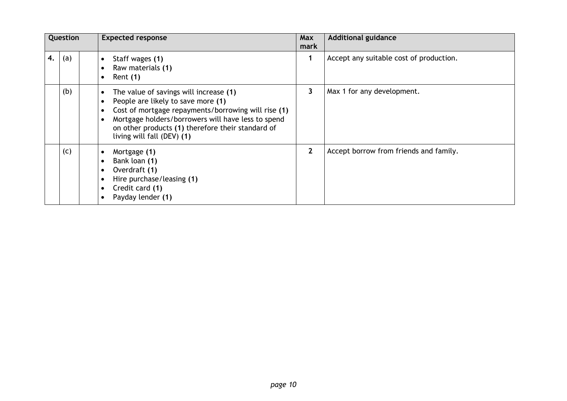| Question |     | <b>Expected response</b>                                                                                                                                                                                                                                                                                                         | Max<br>mark  | <b>Additional guidance</b>              |
|----------|-----|----------------------------------------------------------------------------------------------------------------------------------------------------------------------------------------------------------------------------------------------------------------------------------------------------------------------------------|--------------|-----------------------------------------|
| 4.       | (a) | Staff wages (1)<br>$\bullet$<br>Raw materials (1)<br>$\bullet$<br>Rent (1)<br>$\bullet$                                                                                                                                                                                                                                          |              | Accept any suitable cost of production. |
|          | (b) | The value of savings will increase (1)<br>$\bullet$<br>People are likely to save more (1)<br>$\bullet$<br>Cost of mortgage repayments/borrowing will rise (1)<br>$\bullet$<br>Mortgage holders/borrowers will have less to spend<br>$\bullet$<br>on other products (1) therefore their standard of<br>living will fall (DEV) (1) | 3            | Max 1 for any development.              |
|          | (c) | Mortgage (1)<br>$\bullet$<br>Bank loan (1)<br>$\bullet$<br>Overdraft (1)<br>$\bullet$<br>Hire purchase/leasing (1)<br>$\bullet$<br>Credit card (1)<br>$\bullet$<br>Payday lender (1)<br>$\bullet$                                                                                                                                | $\mathbf{2}$ | Accept borrow from friends and family.  |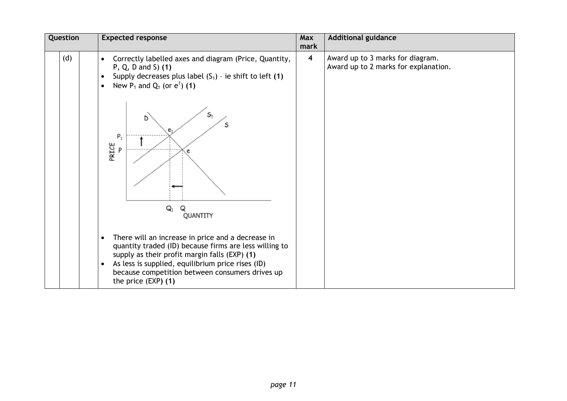| Question | <b>Expected response</b>                                                                                                                                                                                                                                                                                                                                                  | Max<br>mark             | <b>Additional guidance</b>                                               |
|----------|---------------------------------------------------------------------------------------------------------------------------------------------------------------------------------------------------------------------------------------------------------------------------------------------------------------------------------------------------------------------------|-------------------------|--------------------------------------------------------------------------|
| (d)      | Correctly labelled axes and diagram (Price, Quantity,<br>$\bullet$<br>$P, Q, D$ and S $(1)$<br>Supply decreases plus label $(S_1)$ - ie shift to left (1)<br>$\bullet$<br>New $P_1$ and $Q_1$ (or $e^1$ ) (1)<br>$\bullet$<br>$S_1$<br>Ŋ<br>S<br>$P_1$<br>PRICE<br>P<br>$\mathsf{Q}_1$<br>Q<br>QUANTITY<br>There will an increase in price and a decrease in<br>$\bullet$ | $\overline{\mathbf{4}}$ | Award up to 3 marks for diagram.<br>Award up to 2 marks for explanation. |
|          | quantity traded (ID) because firms are less willing to<br>supply as their profit margin falls (EXP) (1)<br>As less is supplied, equilibrium price rises (ID)<br>$\bullet$<br>because competition between consumers drives up<br>the price $(EXP)$ (1)                                                                                                                     |                         |                                                                          |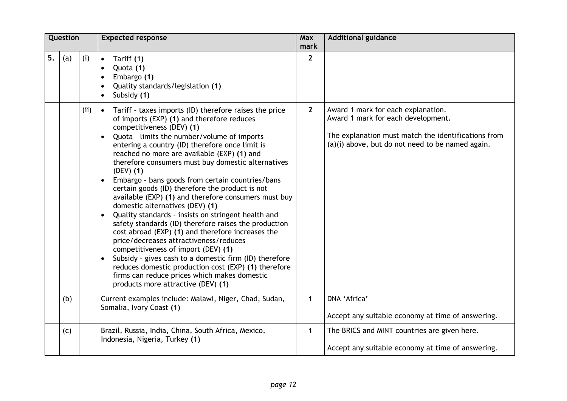| Question |     |     | <b>Expected response</b>                                                                                                                                                                                                                                                                                                                                                                                                                                                                                                                                                                                                                                                                                                                                                                                                                                                                                                                                                                                                                                                                   | Max<br>mark  | <b>Additional guidance</b>                                                                                                                                                          |
|----------|-----|-----|--------------------------------------------------------------------------------------------------------------------------------------------------------------------------------------------------------------------------------------------------------------------------------------------------------------------------------------------------------------------------------------------------------------------------------------------------------------------------------------------------------------------------------------------------------------------------------------------------------------------------------------------------------------------------------------------------------------------------------------------------------------------------------------------------------------------------------------------------------------------------------------------------------------------------------------------------------------------------------------------------------------------------------------------------------------------------------------------|--------------|-------------------------------------------------------------------------------------------------------------------------------------------------------------------------------------|
| 5.       | (a) | (i) | Tariff (1)<br>$\bullet$<br>Quota (1)<br>$\bullet$<br>Embargo (1)<br>$\bullet$<br>Quality standards/legislation (1)<br>$\bullet$<br>Subsidy (1)<br>$\bullet$                                                                                                                                                                                                                                                                                                                                                                                                                                                                                                                                                                                                                                                                                                                                                                                                                                                                                                                                | $\mathbf{2}$ |                                                                                                                                                                                     |
|          |     | (i) | Tariff - taxes imports (ID) therefore raises the price<br>$\bullet$<br>of imports (EXP) (1) and therefore reduces<br>competitiveness (DEV) (1)<br>Quota - limits the number/volume of imports<br>$\bullet$<br>entering a country (ID) therefore once limit is<br>reached no more are available (EXP) (1) and<br>therefore consumers must buy domestic alternatives<br>$(DEV)$ $(1)$<br>Embargo - bans goods from certain countries/bans<br>$\bullet$<br>certain goods (ID) therefore the product is not<br>available (EXP) (1) and therefore consumers must buy<br>domestic alternatives (DEV) (1)<br>Quality standards - insists on stringent health and<br>$\bullet$<br>safety standards (ID) therefore raises the production<br>cost abroad (EXP) (1) and therefore increases the<br>price/decreases attractiveness/reduces<br>competitiveness of import (DEV) (1)<br>Subsidy - gives cash to a domestic firm (ID) therefore<br>$\bullet$<br>reduces domestic production cost (EXP) (1) therefore<br>firms can reduce prices which makes domestic<br>products more attractive (DEV) (1) | $\mathbf{2}$ | Award 1 mark for each explanation.<br>Award 1 mark for each development.<br>The explanation must match the identifications from<br>(a)(i) above, but do not need to be named again. |
|          | (b) |     | Current examples include: Malawi, Niger, Chad, Sudan,<br>Somalia, Ivory Coast (1)                                                                                                                                                                                                                                                                                                                                                                                                                                                                                                                                                                                                                                                                                                                                                                                                                                                                                                                                                                                                          | $\mathbf{1}$ | DNA 'Africa'<br>Accept any suitable economy at time of answering.                                                                                                                   |
|          | (c) |     | Brazil, Russia, India, China, South Africa, Mexico,<br>Indonesia, Nigeria, Turkey (1)                                                                                                                                                                                                                                                                                                                                                                                                                                                                                                                                                                                                                                                                                                                                                                                                                                                                                                                                                                                                      | $\mathbf{1}$ | The BRICS and MINT countries are given here.<br>Accept any suitable economy at time of answering.                                                                                   |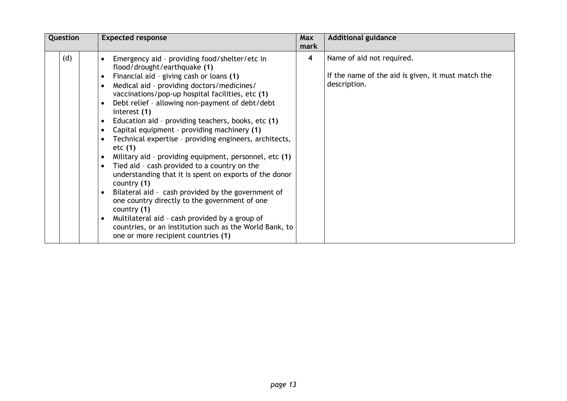| Question | <b>Expected response</b>                                                                                                                                                                                                                                                                                                                                                                                                                                                                                                                                                                                                                                                                                                                                                                                                                                                                                                                                                                                                                                                             | Max<br>mark | <b>Additional guidance</b>                                                                      |
|----------|--------------------------------------------------------------------------------------------------------------------------------------------------------------------------------------------------------------------------------------------------------------------------------------------------------------------------------------------------------------------------------------------------------------------------------------------------------------------------------------------------------------------------------------------------------------------------------------------------------------------------------------------------------------------------------------------------------------------------------------------------------------------------------------------------------------------------------------------------------------------------------------------------------------------------------------------------------------------------------------------------------------------------------------------------------------------------------------|-------------|-------------------------------------------------------------------------------------------------|
| (d)      | Emergency aid - providing food/shelter/etc in<br>$\bullet$<br>flood/drought/earthquake (1)<br>Financial aid - giving cash or loans (1)<br>$\bullet$<br>Medical aid - providing doctors/medicines/<br>$\bullet$<br>vaccinations/pop-up hospital facilities, etc (1)<br>Debt relief - allowing non-payment of debt/debt<br>$\bullet$<br>interest (1)<br>Education aid - providing teachers, books, etc (1)<br>$\bullet$<br>Capital equipment - providing machinery (1)<br>$\bullet$<br>Technical expertise - providing engineers, architects,<br>$\bullet$<br>etc <sub>(1)</sub><br>Military aid - providing equipment, personnel, etc (1)<br>Tied aid - cash provided to a country on the<br>$\bullet$<br>understanding that it is spent on exports of the donor<br>country $(1)$<br>Bilateral aid - cash provided by the government of<br>$\bullet$<br>one country directly to the government of one<br>country (1)<br>Multilateral aid - cash provided by a group of<br>$\bullet$<br>countries, or an institution such as the World Bank, to<br>one or more recipient countries (1) | 4           | Name of aid not required.<br>If the name of the aid is given, it must match the<br>description. |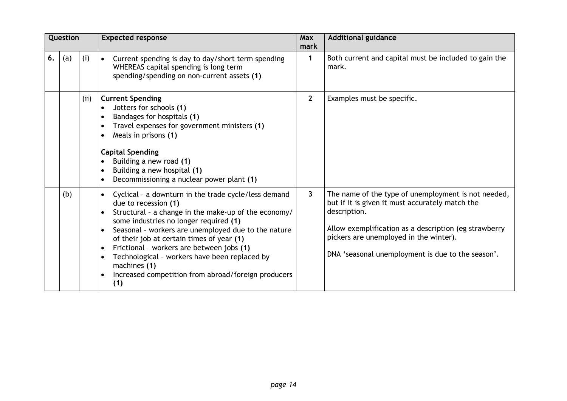| Question |     |      | <b>Expected response</b>                                                                                                                                                                                                                                                                                                                                                                                                                                                                                                                     | Max<br>mark  | <b>Additional guidance</b>                                                                                                                                                                                                                                                     |
|----------|-----|------|----------------------------------------------------------------------------------------------------------------------------------------------------------------------------------------------------------------------------------------------------------------------------------------------------------------------------------------------------------------------------------------------------------------------------------------------------------------------------------------------------------------------------------------------|--------------|--------------------------------------------------------------------------------------------------------------------------------------------------------------------------------------------------------------------------------------------------------------------------------|
| 6.       | (a) | (i)  | Current spending is day to day/short term spending<br>$\bullet$<br>WHEREAS capital spending is long term<br>spending/spending on non-current assets (1)                                                                                                                                                                                                                                                                                                                                                                                      | 1            | Both current and capital must be included to gain the<br>mark.                                                                                                                                                                                                                 |
|          |     | (ii) | <b>Current Spending</b><br>Jotters for schools (1)<br>Bandages for hospitals (1)<br>$\bullet$<br>Travel expenses for government ministers (1)<br>$\bullet$<br>Meals in prisons (1)<br>$\bullet$<br><b>Capital Spending</b><br>Building a new road (1)<br>$\bullet$<br>Building a new hospital (1)<br>$\bullet$<br>Decommissioning a nuclear power plant (1)                                                                                                                                                                                  | $\mathbf{2}$ | Examples must be specific.                                                                                                                                                                                                                                                     |
|          | (b) |      | Cyclical - a downturn in the trade cycle/less demand<br>$\bullet$<br>due to recession (1)<br>Structural - a change in the make-up of the economy/<br>$\bullet$<br>some industries no longer required (1)<br>Seasonal - workers are unemployed due to the nature<br>$\bullet$<br>of their job at certain times of year (1)<br>Frictional - workers are between jobs (1)<br>$\bullet$<br>Technological - workers have been replaced by<br>$\bullet$<br>machines (1)<br>Increased competition from abroad/foreign producers<br>$\bullet$<br>(1) | 3            | The name of the type of unemployment is not needed,<br>but if it is given it must accurately match the<br>description.<br>Allow exemplification as a description (eg strawberry<br>pickers are unemployed in the winter).<br>DNA 'seasonal unemployment is due to the season'. |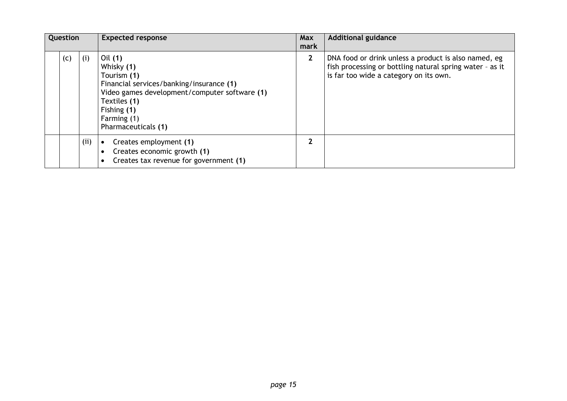| Question |     |     | <b>Expected response</b>                                                                                                                                                                               | <b>Max</b><br>mark | <b>Additional guidance</b>                                                                                                                                 |
|----------|-----|-----|--------------------------------------------------------------------------------------------------------------------------------------------------------------------------------------------------------|--------------------|------------------------------------------------------------------------------------------------------------------------------------------------------------|
|          | (c) | (i) | Oil (1)<br>Whisky (1)<br>Tourism (1)<br>Financial services/banking/insurance (1)<br>Video games development/computer software (1)<br>Textiles (1)<br>Fishing (1)<br>Farming (1)<br>Pharmaceuticals (1) | $\overline{2}$     | DNA food or drink unless a product is also named, eg<br>fish processing or bottling natural spring water - as it<br>is far too wide a category on its own. |
|          |     | (i) | Creates employment (1)<br>$\bullet$<br>Creates economic growth (1)<br>$\bullet$<br>Creates tax revenue for government (1)<br>$\bullet$                                                                 | າ                  |                                                                                                                                                            |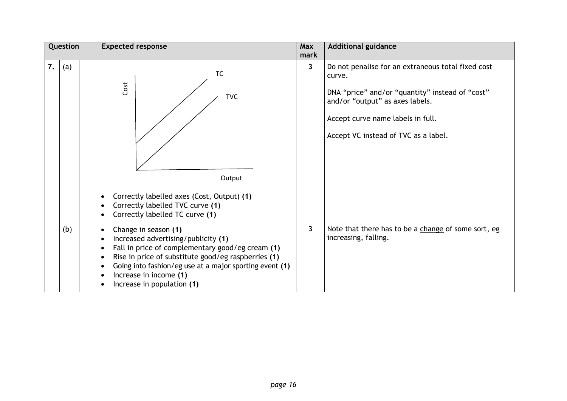| Question |     | <b>Expected response</b>                                                                                                                                                                                                                                                                                                                                                | Max<br>mark | <b>Additional guidance</b>                                                                                                                                                                                                      |
|----------|-----|-------------------------------------------------------------------------------------------------------------------------------------------------------------------------------------------------------------------------------------------------------------------------------------------------------------------------------------------------------------------------|-------------|---------------------------------------------------------------------------------------------------------------------------------------------------------------------------------------------------------------------------------|
| 7.       | (a) | <b>TC</b><br>Cost<br><b>TVC</b><br>Output<br>Correctly labelled axes (Cost, Output) (1)<br>$\bullet$<br>Correctly labelled TVC curve (1)<br>$\bullet$<br>Correctly labelled TC curve (1)<br>$\bullet$                                                                                                                                                                   | 3           | Do not penalise for an extraneous total fixed cost<br>curve.<br>DNA "price" and/or "quantity" instead of "cost"<br>and/or "output" as axes labels.<br>Accept curve name labels in full.<br>Accept VC instead of TVC as a label. |
|          | (b) | Change in season (1)<br>$\bullet$<br>Increased advertising/publicity (1)<br>Fall in price of complementary good/eg cream (1)<br>$\bullet$<br>Rise in price of substitute good/eg raspberries (1)<br>$\bullet$<br>Going into fashion/eg use at a major sporting event (1)<br>$\bullet$<br>Increase in income (1)<br>$\bullet$<br>Increase in population (1)<br>$\bullet$ | 3           | Note that there has to be a change of some sort, eg<br>increasing, falling.                                                                                                                                                     |